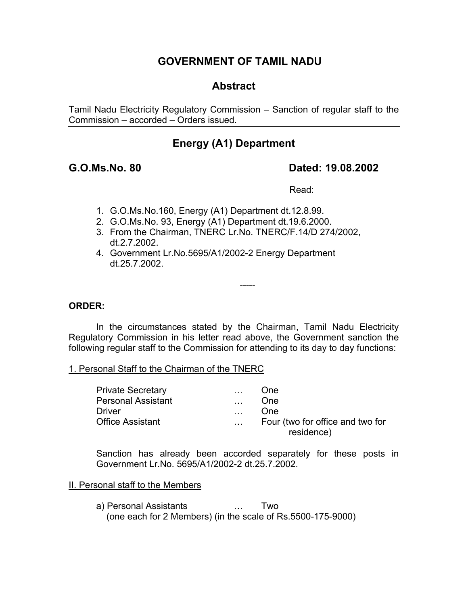## **GOVERNMENT OF TAMIL NADU**

## **Abstract**

Tamil Nadu Electricity Regulatory Commission – Sanction of regular staff to the Commission – accorded – Orders issued.

## **Energy (A1) Department**

## **G.O.Ms.No. 80 Dated: 19.08.2002**

Read:

- 1. G.O.Ms.No.160, Energy (A1) Department dt.12.8.99.
- 2. G.O.Ms.No. 93, Energy (A1) Department dt.19.6.2000.
- 3. From the Chairman, TNERC Lr.No. TNERC/F.14/D 274/2002, dt.2.7.2002.
- 4. Government Lr.No.5695/A1/2002-2 Energy Department dt.25.7.2002.

## **ORDER:**

 In the circumstances stated by the Chairman, Tamil Nadu Electricity Regulatory Commission in his letter read above, the Government sanction the following regular staff to the Commission for attending to its day to day functions:

-----

### 1. Personal Staff to the Chairman of the TNERC

| One                                            |
|------------------------------------------------|
|                                                |
| One                                            |
| Four (two for office and two for<br>residence) |
|                                                |

Sanction has already been accorded separately for these posts in Government Lr.No. 5695/A1/2002-2 dt.25.7.2002.

### II. Personal staff to the Members

 a) Personal Assistants … Two (one each for 2 Members) (in the scale of Rs.5500-175-9000)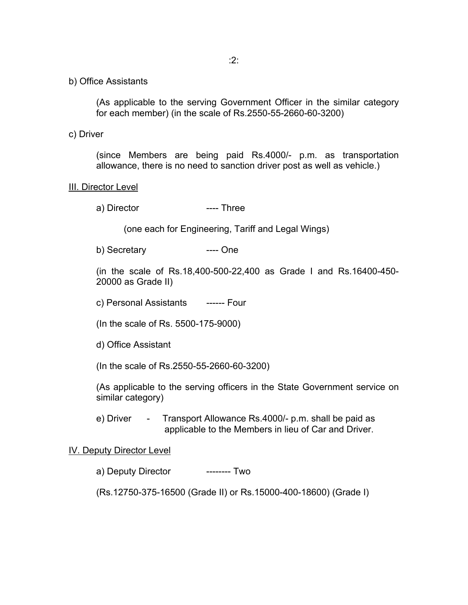b) Office Assistants

(As applicable to the serving Government Officer in the similar category for each member) (in the scale of Rs.2550-55-2660-60-3200)

c) Driver

(since Members are being paid Rs.4000/- p.m. as transportation allowance, there is no need to sanction driver post as well as vehicle.)

#### **III. Director Level**

a) Director ---- Three

(one each for Engineering, Tariff and Legal Wings)

b) Secretary ---- One

(in the scale of Rs.18,400-500-22,400 as Grade I and Rs.16400-450- 20000 as Grade II)

c) Personal Assistants ------ Four

(In the scale of Rs. 5500-175-9000)

d) Office Assistant

(In the scale of Rs.2550-55-2660-60-3200)

(As applicable to the serving officers in the State Government service on similar category)

e) Driver - Transport Allowance Rs.4000/- p.m. shall be paid as applicable to the Members in lieu of Car and Driver.

#### IV. Deputy Director Level

a) Deputy Director --------- Two

(Rs.12750-375-16500 (Grade II) or Rs.15000-400-18600) (Grade I)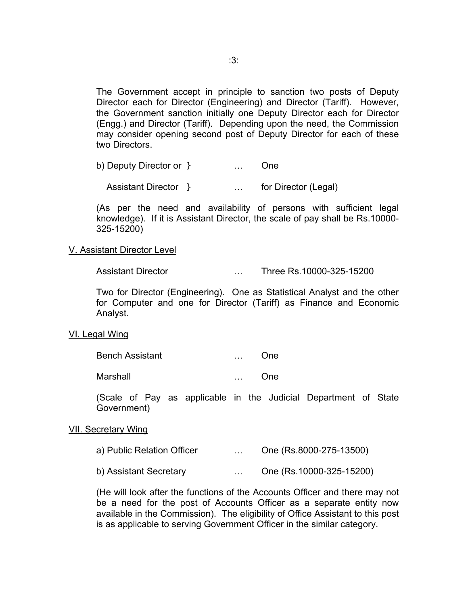The Government accept in principle to sanction two posts of Deputy Director each for Director (Engineering) and Director (Tariff). However, the Government sanction initially one Deputy Director each for Director (Engg.) and Director (Tariff). Depending upon the need, the Commission may consider opening second post of Deputy Director for each of these two Directors.

| b) Deputy Director or } |  | - One |
|-------------------------|--|-------|
|                         |  |       |

Assistant Director } [19] [19] [19] [19] [19] [19] for Director (Legal)

(As per the need and availability of persons with sufficient legal knowledge). If it is Assistant Director, the scale of pay shall be Rs.10000- 325-15200)

#### V. Assistant Director Level

Assistant Director … Three Rs.10000-325-15200

Two for Director (Engineering). One as Statistical Analyst and the other for Computer and one for Director (Tariff) as Finance and Economic Analyst.

#### VI. Legal Wing

| <b>Bench Assistant</b> | One |
|------------------------|-----|
|                        |     |

Marshall … One

(Scale of Pay as applicable in the Judicial Department of State Government)

#### VII. Secretary Wing

- a) Public Relation Officer … One (Rs.8000-275-13500)
- b) Assistant Secretary … One (Rs.10000-325-15200)

(He will look after the functions of the Accounts Officer and there may not be a need for the post of Accounts Officer as a separate entity now available in the Commission). The eligibility of Office Assistant to this post is as applicable to serving Government Officer in the similar category.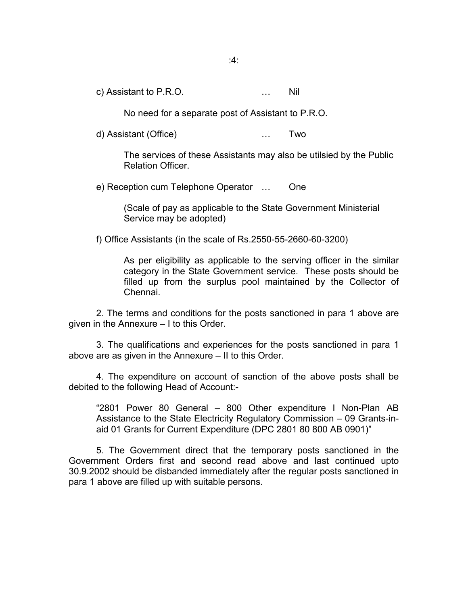c) Assistant to P.R.O. … Nil

No need for a separate post of Assistant to P.R.O.

d) Assistant (Office) … Two

The services of these Assistants may also be utilsied by the Public Relation Officer.

e) Reception cum Telephone Operator … One

(Scale of pay as applicable to the State Government Ministerial Service may be adopted)

f) Office Assistants (in the scale of Rs.2550-55-2660-60-3200)

As per eligibility as applicable to the serving officer in the similar category in the State Government service. These posts should be filled up from the surplus pool maintained by the Collector of Chennai.

 2. The terms and conditions for the posts sanctioned in para 1 above are given in the Annexure – I to this Order.

 3. The qualifications and experiences for the posts sanctioned in para 1 above are as given in the Annexure – II to this Order.

 4. The expenditure on account of sanction of the above posts shall be debited to the following Head of Account:-

"2801 Power 80 General – 800 Other expenditure I Non-Plan AB Assistance to the State Electricity Regulatory Commission – 09 Grants-inaid 01 Grants for Current Expenditure (DPC 2801 80 800 AB 0901)"

 5. The Government direct that the temporary posts sanctioned in the Government Orders first and second read above and last continued upto 30.9.2002 should be disbanded immediately after the regular posts sanctioned in para 1 above are filled up with suitable persons.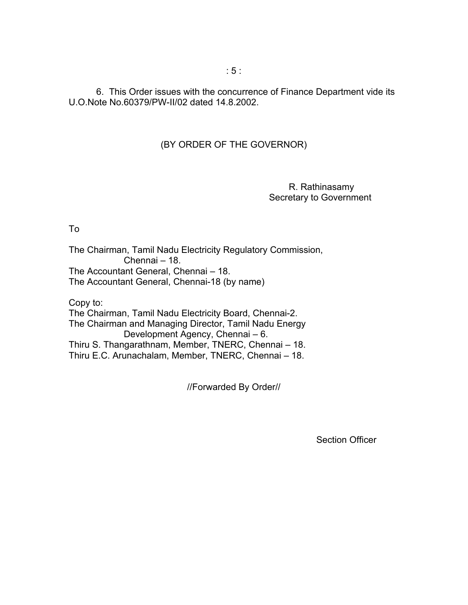6. This Order issues with the concurrence of Finance Department vide its U.O.Note No.60379/PW-II/02 dated 14.8.2002.

## (BY ORDER OF THE GOVERNOR)

 R. Rathinasamy Secretary to Government

To

The Chairman, Tamil Nadu Electricity Regulatory Commission, Chennai – 18. The Accountant General, Chennai – 18. The Accountant General, Chennai-18 (by name)

Copy to:

The Chairman, Tamil Nadu Electricity Board, Chennai-2. The Chairman and Managing Director, Tamil Nadu Energy Development Agency, Chennai – 6. Thiru S. Thangarathnam, Member, TNERC, Chennai – 18. Thiru E.C. Arunachalam, Member, TNERC, Chennai – 18.

//Forwarded By Order//

Section Officer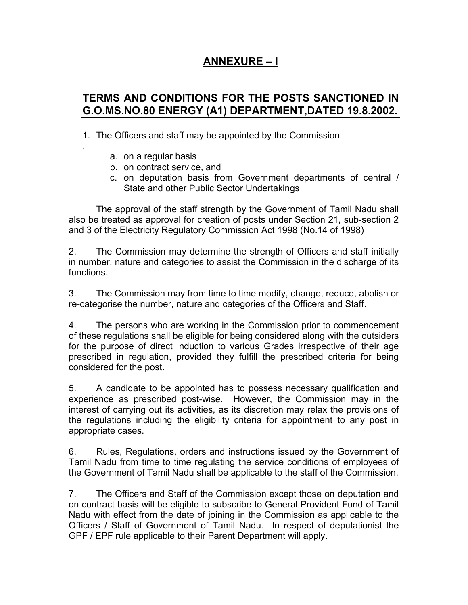# **ANNEXURE – I**

## **TERMS AND CONDITIONS FOR THE POSTS SANCTIONED IN G.O.MS.NO.80 ENERGY (A1) DEPARTMENT,DATED 19.8.2002.**

- 1. The Officers and staff may be appointed by the Commission
	- a. on a regular basis

.

- b. on contract service, and
- c. on deputation basis from Government departments of central / State and other Public Sector Undertakings

The approval of the staff strength by the Government of Tamil Nadu shall also be treated as approval for creation of posts under Section 21, sub-section 2 and 3 of the Electricity Regulatory Commission Act 1998 (No.14 of 1998)

2. The Commission may determine the strength of Officers and staff initially in number, nature and categories to assist the Commission in the discharge of its functions.

3. The Commission may from time to time modify, change, reduce, abolish or re-categorise the number, nature and categories of the Officers and Staff.

4. The persons who are working in the Commission prior to commencement of these regulations shall be eligible for being considered along with the outsiders for the purpose of direct induction to various Grades irrespective of their age prescribed in regulation, provided they fulfill the prescribed criteria for being considered for the post.

5. A candidate to be appointed has to possess necessary qualification and experience as prescribed post-wise. However, the Commission may in the interest of carrying out its activities, as its discretion may relax the provisions of the regulations including the eligibility criteria for appointment to any post in appropriate cases.

6. Rules, Regulations, orders and instructions issued by the Government of Tamil Nadu from time to time regulating the service conditions of employees of the Government of Tamil Nadu shall be applicable to the staff of the Commission.

7. The Officers and Staff of the Commission except those on deputation and on contract basis will be eligible to subscribe to General Provident Fund of Tamil Nadu with effect from the date of joining in the Commission as applicable to the Officers / Staff of Government of Tamil Nadu. In respect of deputationist the GPF / EPF rule applicable to their Parent Department will apply.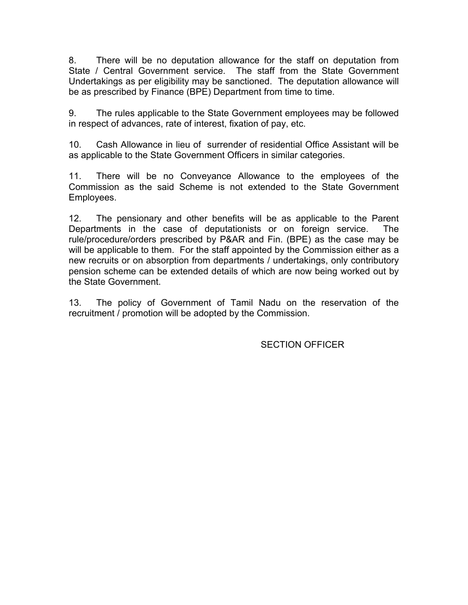8. There will be no deputation allowance for the staff on deputation from State / Central Government service. The staff from the State Government Undertakings as per eligibility may be sanctioned. The deputation allowance will be as prescribed by Finance (BPE) Department from time to time.

9. The rules applicable to the State Government employees may be followed in respect of advances, rate of interest, fixation of pay, etc.

10. Cash Allowance in lieu of surrender of residential Office Assistant will be as applicable to the State Government Officers in similar categories.

11. There will be no Conveyance Allowance to the employees of the Commission as the said Scheme is not extended to the State Government Employees.

12. The pensionary and other benefits will be as applicable to the Parent Departments in the case of deputationists or on foreign service. The rule/procedure/orders prescribed by P&AR and Fin. (BPE) as the case may be will be applicable to them. For the staff appointed by the Commission either as a new recruits or on absorption from departments / undertakings, only contributory pension scheme can be extended details of which are now being worked out by the State Government.

13. The policy of Government of Tamil Nadu on the reservation of the recruitment / promotion will be adopted by the Commission.

SECTION OFFICER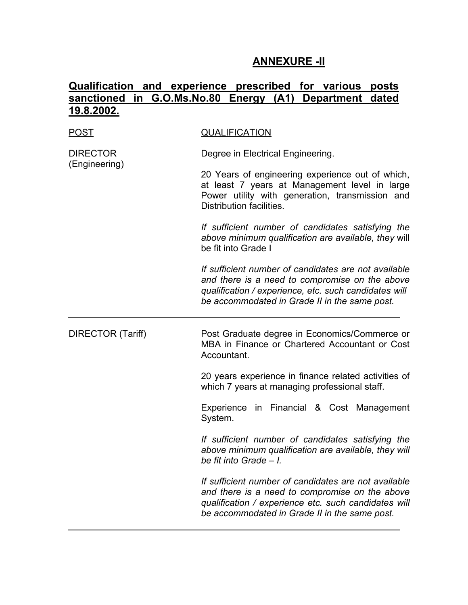## **ANNEXURE -II**

# **Qualification and experience prescribed for various posts sanctioned in G.O.Ms.No.80 Energy (A1) Department dated 19.8.2002.**

| <u>POST</u>                      | <b>QUALIFICATION</b>                                                                                                                                                                                             |
|----------------------------------|------------------------------------------------------------------------------------------------------------------------------------------------------------------------------------------------------------------|
| <b>DIRECTOR</b><br>(Engineering) | Degree in Electrical Engineering.                                                                                                                                                                                |
|                                  | 20 Years of engineering experience out of which,<br>at least 7 years at Management level in large<br>Power utility with generation, transmission and<br>Distribution facilities.                                 |
|                                  | If sufficient number of candidates satisfying the<br>above minimum qualification are available, they will<br>be fit into Grade I                                                                                 |
|                                  | If sufficient number of candidates are not available<br>and there is a need to compromise on the above<br>qualification / experience, etc. such candidates will<br>be accommodated in Grade II in the same post. |
| <b>DIRECTOR (Tariff)</b>         | Post Graduate degree in Economics/Commerce or<br>MBA in Finance or Chartered Accountant or Cost<br>Accountant.                                                                                                   |
|                                  | 20 years experience in finance related activities of<br>which 7 years at managing professional staff.                                                                                                            |
|                                  | in Financial & Cost Management<br>Experience<br>System.                                                                                                                                                          |
|                                  | If sufficient number of candidates satisfying the<br>above minimum qualification are available, they will<br>be fit into Grade - I.                                                                              |
|                                  |                                                                                                                                                                                                                  |
|                                  | If sufficient number of candidates are not available<br>and there is a need to compromise on the above<br>qualification / experience etc. such candidates will<br>be accommodated in Grade II in the same post.  |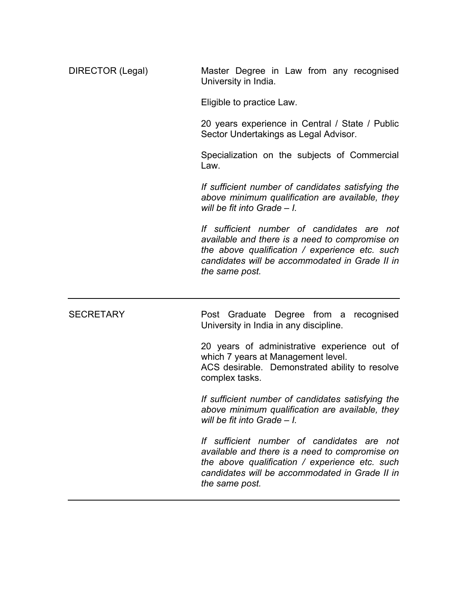| DIRECTOR (Legal) | Master Degree in Law from any recognised<br>University in India.                                                                                                                                                   |
|------------------|--------------------------------------------------------------------------------------------------------------------------------------------------------------------------------------------------------------------|
|                  | Eligible to practice Law.                                                                                                                                                                                          |
|                  | 20 years experience in Central / State / Public<br>Sector Undertakings as Legal Advisor.                                                                                                                           |
|                  | Specialization on the subjects of Commercial<br>Law.                                                                                                                                                               |
|                  | If sufficient number of candidates satisfying the<br>above minimum qualification are available, they<br>will be fit into Grade $-1$ .                                                                              |
|                  | If sufficient number of candidates are not<br>available and there is a need to compromise on<br>the above qualification / experience etc. such<br>candidates will be accommodated in Grade II in<br>the same post. |
| <b>SECRETARY</b> | Post Graduate Degree from a recognised<br>University in India in any discipline.                                                                                                                                   |
|                  | 20 years of administrative experience out of<br>which 7 years at Management level.<br>ACS desirable. Demonstrated ability to resolve<br>complex tasks.                                                             |
|                  | If sufficient number of candidates satisfying the<br>above minimum qualification are available, they<br>will be fit into Grade - I.                                                                                |
|                  |                                                                                                                                                                                                                    |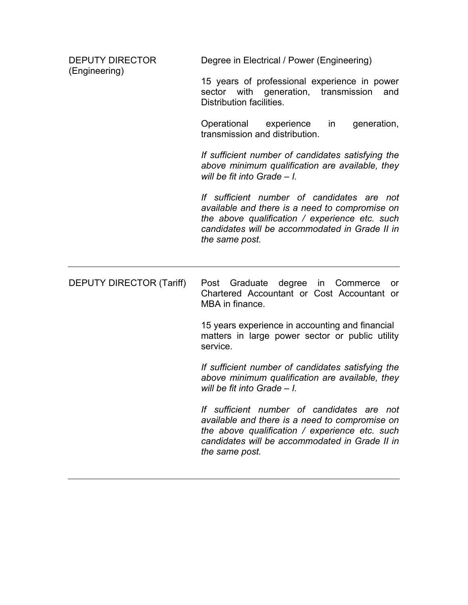| <b>DEPUTY DIRECTOR</b><br>(Engineering) | Degree in Electrical / Power (Engineering)                                                                                                                                                                         |
|-----------------------------------------|--------------------------------------------------------------------------------------------------------------------------------------------------------------------------------------------------------------------|
|                                         | 15 years of professional experience in power<br>sector with<br>generation, transmission<br>and<br>Distribution facilities.                                                                                         |
|                                         | Operational<br>experience<br>in<br>generation,<br>transmission and distribution.                                                                                                                                   |
|                                         | If sufficient number of candidates satisfying the<br>above minimum qualification are available, they<br>will be fit into Grade $-1$ .                                                                              |
|                                         | If sufficient number of candidates are not<br>available and there is a need to compromise on<br>the above qualification / experience etc. such<br>candidates will be accommodated in Grade II in<br>the same post. |
| <b>DEPUTY DIRECTOR (Tariff)</b>         | Graduate<br>degree in<br>Post<br>Commerce<br><b>or</b><br>Chartered Accountant or Cost Accountant or<br>MBA in finance.                                                                                            |
|                                         | 15 years experience in accounting and financial<br>matters in large power sector or public utility<br>service.                                                                                                     |
|                                         | If sufficient number of candidates satisfying the<br>above minimum qualification are available, they<br>will be fit into Grade $-1$ .                                                                              |
|                                         | If sufficient number of candidates are not<br>available and there is a need to compromise on<br>the above qualification / experience etc. such<br>candidates will be accommodated in Grade II in                   |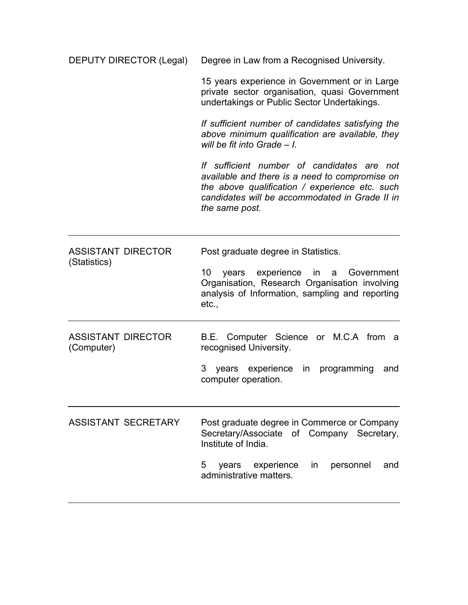| DEPUTY DIRECTOR (Legal)                   | Degree in Law from a Recognised University.                                                                                                                                                                        |
|-------------------------------------------|--------------------------------------------------------------------------------------------------------------------------------------------------------------------------------------------------------------------|
|                                           | 15 years experience in Government or in Large<br>private sector organisation, quasi Government<br>undertakings or Public Sector Undertakings.                                                                      |
|                                           | If sufficient number of candidates satisfying the<br>above minimum qualification are available, they<br>will be fit into Grade $-1$ .                                                                              |
|                                           | If sufficient number of candidates are not<br>available and there is a need to compromise on<br>the above qualification / experience etc. such<br>candidates will be accommodated in Grade II in<br>the same post. |
| <b>ASSISTANT DIRECTOR</b><br>(Statistics) | Post graduate degree in Statistics.<br>10<br>years experience<br>in<br>Government<br>a<br>Organisation, Research Organisation involving<br>analysis of Information, sampling and reporting<br>etc.,                |
| <b>ASSISTANT DIRECTOR</b><br>(Computer)   | B.E. Computer Science or M.C.A from<br>- a<br>recognised University.<br>3 years experience<br>programming<br>in.<br>and<br>computer operation.                                                                     |
| <b>ASSISTANT SECRETARY</b>                | Post graduate degree in Commerce or Company<br>Secretary/Associate of Company Secretary,<br>Institute of India.<br>5<br>in personnel<br>years experience<br>and<br>administrative matters.                         |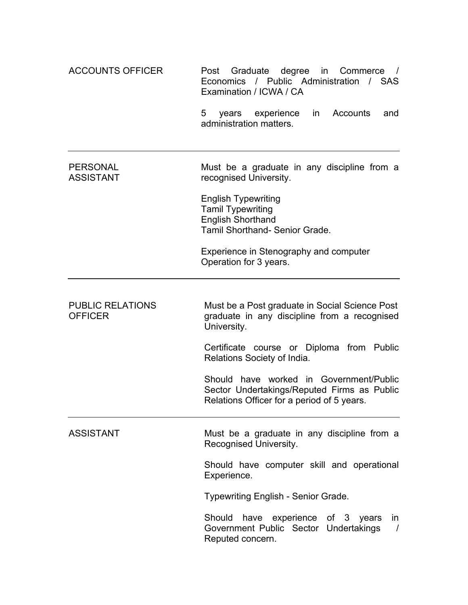| <b>ACCOUNTS OFFICER</b>                   | Graduate degree<br>in Commerce<br>Post<br>$\sqrt{1}$<br>Economics / Public Administration / SAS<br>Examination / ICWA / CA           |
|-------------------------------------------|--------------------------------------------------------------------------------------------------------------------------------------|
|                                           | 5<br>Accounts<br>years experience<br>in<br>and<br>administration matters.                                                            |
| <b>PERSONAL</b><br><b>ASSISTANT</b>       | Must be a graduate in any discipline from a<br>recognised University.                                                                |
|                                           | <b>English Typewriting</b><br><b>Tamil Typewriting</b><br><b>English Shorthand</b><br><b>Tamil Shorthand- Senior Grade.</b>          |
|                                           | Experience in Stenography and computer<br>Operation for 3 years.                                                                     |
| <b>PUBLIC RELATIONS</b><br><b>OFFICER</b> | Must be a Post graduate in Social Science Post<br>graduate in any discipline from a recognised<br>University.                        |
|                                           | Certificate course or Diploma from Public<br>Relations Society of India.                                                             |
|                                           | Should have worked in Government/Public<br>Sector Undertakings/Reputed Firms as Public<br>Relations Officer for a period of 5 years. |
| <b>ASSISTANT</b>                          | Must be a graduate in any discipline from a<br>Recognised University.                                                                |
|                                           | Should have computer skill and operational<br>Experience.                                                                            |
|                                           | <b>Typewriting English - Senior Grade.</b>                                                                                           |
|                                           | have experience of 3 years<br>Should<br>in.<br>Government Public Sector Undertakings<br>$\prime$<br>Reputed concern.                 |